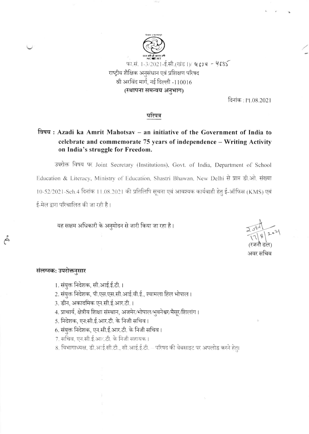

दिनांक : । 1.08.2021

## परिपत्र

## विषय: Azadi ka Amrit Mahotsav – an initiative of the Government of India to celebrate and commemorate 75 years of independence - Writing Activity on India's struggle for Freedom.

उपरोक्त विषय पर Joint Secretary (Institutions), Govt. of India, Department of School Education & Literacy, Ministry of Education, Shastri Bhawan, New Delhi से प्राप्त डी.ओ. संख्या 10-52/2021-Sch.4 दिनांक 11.08.2021 की प्रतिलिपि सूचना एवं आवश्यक कार्यवाही हेतु ई-ऑफिस (KMS) एवं ई-मेल द्वारा परिचालित की जा रही है।

यह सक्षम अधिकारी के अनुमोदन से जारी किया जा रहा है।

अवर सचिव

## संलग्नक: उपरोक्तनुसार

 $\tilde{\epsilon}$ 

- 1. संयुक्त निदेशक, सी.आई.ई.टी.।
- 2. संयुक्त निदेशक, पी.एस.एस.सी.आई.वी.ई., श्यामला हिल भोपाल।
- 3. डीन, अकादमिक एन.सी.ई.आर.टी.।
- 4. प्राचार्य, क्षेत्रीय शिक्षा संस्थान, अजमेर/भोपाल/भुवनेश्वर/मैसूर/शिलांग।
- 5. निदेशक, एन:सी.ई.आर.टी. के निजी सचिव ।
- 6. संयुक्त निदेशक, एन.सी.ई.आर.टी. के निजी सचिव।
- 7. सचिव, एन.सी.ई.आर.टी. के निजी सहायक।
- 8. विभागाध्यक्ष, डी.आई.सी.टी., सी.आई.ई.टी. परिषद की वेबसाइट पर अपलोड करने हेतु।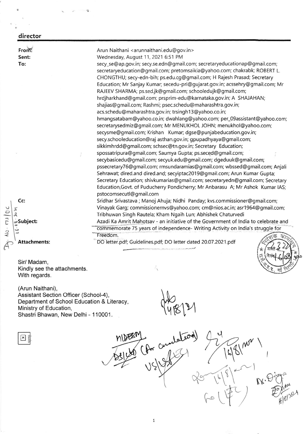## $\mathcal{C}$  $\frac{2}{\sqrt{2}}$  $\ddot{z}$ From: Sent: To: Cc: Attachments: Sir/ Madam, Arun Naithani < arunnaithani.edu@gov.in > Wednesday, August 11, 2021 6:51 PM secy\_se@ap.gov.in; secy.se.edn@gmail.com; secretaryeducationap@gmail.com; secretaryeducation@gmail.com; pretomsaikia@yahgo.com; chakrabk; ROBERT L. CHONGTHU; secy-edn bih; ps.edu.cg @gmail.com; H Rajesh Prasad; Secretary Education; Mr Sanjay Kumar; secedu-pri@gujarat.gov.in; acssehry@gmail.com; Mr RAJEEV SHARMA; ps.sed jk@gmail.com; schooledujk@gmail.com; hrdjharkhand@gmail.com; prsprim-edu@karnataka.gov.in; A SHAJAHAN; shajias@ gmail.com; Rashmi; psec.schedu@maharashtra.gov.in; acs.schedu@maharashtra.gov.in; trsingh13@yahoo.co.in; hmangsatabam@yahoo.co.in; dwahlang@yahoo.com; per\_09assistant@yahoo.com; secretarysedmiz@gmail.com; Mr MENUKHOL JOHN; menukhol@yahoo.com; secysme@gmail.com; Krishan Kumar; dgse@punjabeducation.gov.in; secy.schooleducation@raj asthan.gov.in; gpupadhyaya@ gmail.com; sikkimhrdd@gmail.com; schsec@tn.gov.in; Secretary Education; spossatripura@gmail.com; Saumya Gupta; ps.seced@gmail.com; secybasicedu@gmail.com; secyuk.edu@gmail.com; dgeduuk@ gmail.com; pssecretaryT6@gmail.com; rmsundaramias@gmail.com; wbssed@gmail.com; Anjali Sehrawat; dired.and dired.and; secyiptac2019@gmail.com; Arun Kumar Gupta; Secretary Education; shivkumarias@gmail.com; secretaryedn@gmail.com; Secretary Education,Govt. of Puducherry Pondicherry; Mr Anbarasu A; Mr Ashok Kumar IAS; pstocomsecutl@gmail.com Sridhar Srivastava; Manoj Ahuja; Nidhi Panday; kvs.commissioner@gmail.com; Vinayak Garg; commissionernvs@yahoo.com; cm@nios.ac.in; asr1964@gmail.com; Tribhuwan Singh Rautela; Kham Ngaih Lun; Abhishek Chaturvedi 5  $\lambda$ subject: : Azadi Ka Amrit <u>Mahotsav - an initiative of the Government of India to celebrate and</u> commemorate 75 years of independence- Writing Activity on India's struggle for Freedom. DO letter.pdf; Guidelines.pdf; DO letter dated 20.07.2021.pdf F \* r'4 \* director

 $\Theta^3$ 

I

N

 $n_{\alpha}$ 

I

)

lf

 $\vert$ <sub>o</sub>,

 $60'$ 

(Arun Naithani), Assistant Section Officer (School-4), Department of School Education & Literacy, Ministry of Education, Shastri Bhawan, New Delhi - 1 10001.

 $\mathbf{I}$ 

Kindly see the attachments.

With regards.

a

148121

 $U^*$   $\mathbb{R}$   $\rightarrow$ 

1

 $\bigwedge$ 

 $\overline{q}$ 

 $(8)^{2-1}$ 

 $G = \begin{pmatrix} \psi & \psi \\ \psi & \psi \end{pmatrix}$